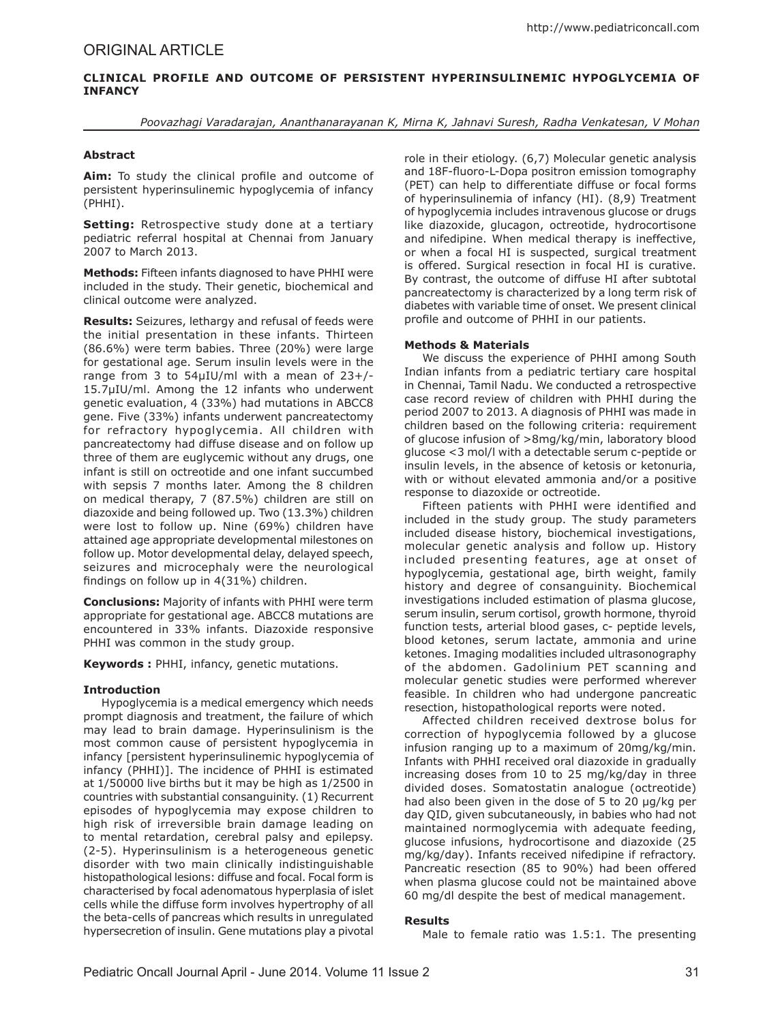# **Clinical Profile and Outcome of Persistent Hyperinsulinemic Hypoglycemia of Infancy**

*Poovazhagi Varadarajan, Ananthanarayanan K, Mirna K, Jahnavi Suresh, Radha Venkatesan, V Mohan*

## **Abstract**

**Aim:** To study the clinical profile and outcome of persistent hyperinsulinemic hypoglycemia of infancy (PHHI).

**Setting:** Retrospective study done at a tertiary pediatric referral hospital at Chennai from January 2007 to March 2013.

**Methods:** Fifteen infants diagnosed to have PHHI were included in the study. Their genetic, biochemical and clinical outcome were analyzed.

**Results:** Seizures, lethargy and refusal of feeds were the initial presentation in these infants. Thirteen (86.6%) were term babies. Three (20%) were large for gestational age. Serum insulin levels were in the range from 3 to 54µIU/ml with a mean of 23+/- 15.7µIU/ml. Among the 12 infants who underwent genetic evaluation, 4 (33%) had mutations in ABCC8 gene. Five (33%) infants underwent pancreatectomy for refractory hypoglycemia. All children with pancreatectomy had diffuse disease and on follow up three of them are euglycemic without any drugs, one infant is still on octreotide and one infant succumbed with sepsis 7 months later. Among the 8 children on medical therapy, 7 (87.5%) children are still on diazoxide and being followed up. Two (13.3%) children were lost to follow up. Nine (69%) children have attained age appropriate developmental milestones on follow up. Motor developmental delay, delayed speech, seizures and microcephaly were the neurological findings on follow up in 4(31%) children.

**Conclusions:** Majority of infants with PHHI were term appropriate for gestational age. ABCC8 mutations are encountered in 33% infants. Diazoxide responsive PHHI was common in the study group.

**Keywords :** PHHI, infancy, genetic mutations.

# **Introduction**

Hypoglycemia is a medical emergency which needs prompt diagnosis and treatment, the failure of which may lead to brain damage. Hyperinsulinism is the most common cause of persistent hypoglycemia in infancy [persistent hyperinsulinemic hypoglycemia of infancy (PHHI)]. The incidence of PHHI is estimated at 1/50000 live births but it may be high as 1/2500 in countries with substantial consanguinity. (1) Recurrent episodes of hypoglycemia may expose children to high risk of irreversible brain damage leading on to mental retardation, cerebral palsy and epilepsy. (2-5). Hyperinsulinism is a heterogeneous genetic disorder with two main clinically indistinguishable histopathological lesions: diffuse and focal. Focal form is characterised by focal adenomatous hyperplasia of islet cells while the diffuse form involves hypertrophy of all the beta-cells of pancreas which results in unregulated hypersecretion of insulin. Gene mutations play a pivotal role in their etiology. (6,7) Molecular genetic analysis and 18F-fluoro-L-Dopa positron emission tomography (PET) can help to differentiate diffuse or focal forms of hyperinsulinemia of infancy (HI). (8,9) Treatment of hypoglycemia includes intravenous glucose or drugs like diazoxide, glucagon, octreotide, hydrocortisone and nifedipine. When medical therapy is ineffective, or when a focal HI is suspected, surgical treatment is offered. Surgical resection in focal HI is curative. By contrast, the outcome of diffuse HI after subtotal pancreatectomy is characterized by a long term risk of diabetes with variable time of onset. We present clinical profile and outcome of PHHI in our patients.

### **Methods & Materials**

We discuss the experience of PHHI among South Indian infants from a pediatric tertiary care hospital in Chennai, Tamil Nadu. We conducted a retrospective case record review of children with PHHI during the period 2007 to 2013. A diagnosis of PHHI was made in children based on the following criteria: requirement of glucose infusion of >8mg/kg/min, laboratory blood glucose <3 mol/l with a detectable serum c-peptide or insulin levels, in the absence of ketosis or ketonuria, with or without elevated ammonia and/or a positive response to diazoxide or octreotide.

Fifteen patients with PHHI were identified and included in the study group. The study parameters included disease history, biochemical investigations, molecular genetic analysis and follow up. History included presenting features, age at onset of hypoglycemia, gestational age, birth weight, family history and degree of consanguinity. Biochemical investigations included estimation of plasma glucose, serum insulin, serum cortisol, growth hormone, thyroid function tests, arterial blood gases, c- peptide levels, blood ketones, serum lactate, ammonia and urine ketones. Imaging modalities included ultrasonography of the abdomen. Gadolinium PET scanning and molecular genetic studies were performed wherever feasible. In children who had undergone pancreatic resection, histopathological reports were noted.

Affected children received dextrose bolus for correction of hypoglycemia followed by a glucose infusion ranging up to a maximum of 20mg/kg/min. Infants with PHHI received oral diazoxide in gradually increasing doses from 10 to 25 mg/kg/day in three divided doses. Somatostatin analogue (octreotide) had also been given in the dose of 5 to 20 µg/kg per day QID, given subcutaneously, in babies who had not maintained normoglycemia with adequate feeding, glucose infusions, hydrocortisone and diazoxide (25 mg/kg/day). Infants received nifedipine if refractory. Pancreatic resection (85 to 90%) had been offered when plasma glucose could not be maintained above 60 mg/dl despite the best of medical management.

# **Results**

Male to female ratio was 1.5:1. The presenting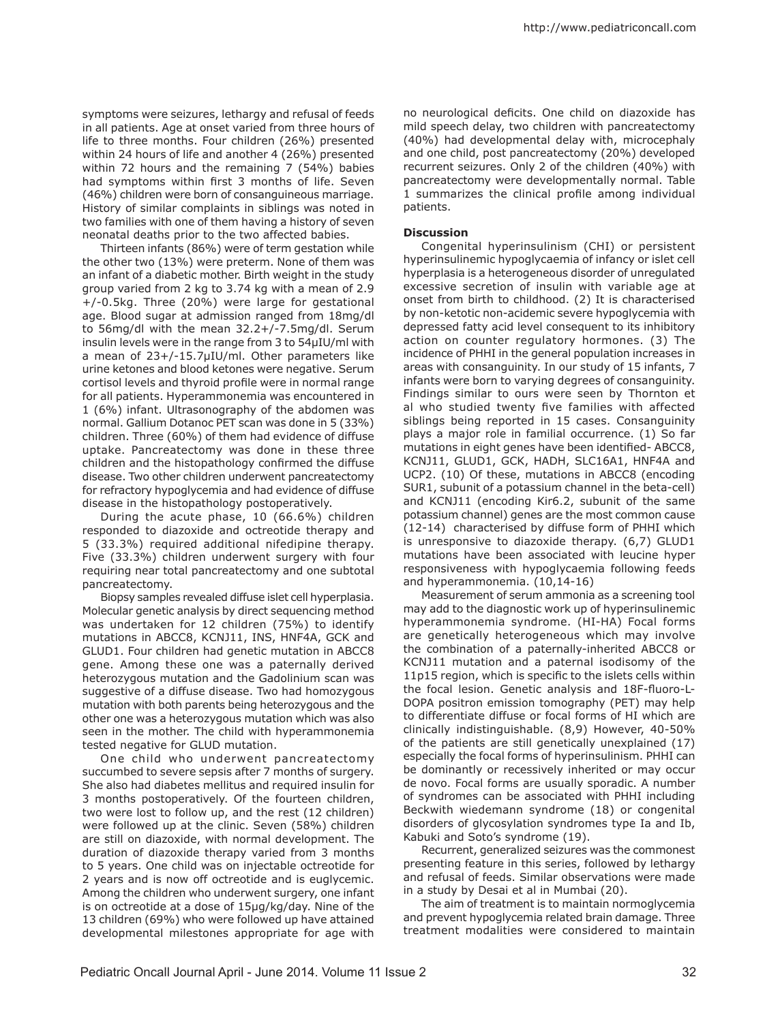symptoms were seizures, lethargy and refusal of feeds in all patients. Age at onset varied from three hours of life to three months. Four children (26%) presented within 24 hours of life and another 4 (26%) presented within 72 hours and the remaining 7 (54%) babies had symptoms within first 3 months of life. Seven (46%) children were born of consanguineous marriage. History of similar complaints in siblings was noted in two families with one of them having a history of seven neonatal deaths prior to the two affected babies.

Thirteen infants (86%) were of term gestation while the other two (13%) were preterm. None of them was an infant of a diabetic mother. Birth weight in the study group varied from 2 kg to 3.74 kg with a mean of 2.9 +/-0.5kg. Three (20%) were large for gestational age. Blood sugar at admission ranged from 18mg/dl to 56mg/dl with the mean 32.2+/-7.5mg/dl. Serum insulin levels were in the range from 3 to 54µIU/ml with a mean of 23+/-15.7µIU/ml. Other parameters like urine ketones and blood ketones were negative. Serum cortisol levels and thyroid profile were in normal range for all patients. Hyperammonemia was encountered in 1 (6%) infant. Ultrasonography of the abdomen was normal. Gallium Dotanoc PET scan was done in 5 (33%) children. Three (60%) of them had evidence of diffuse uptake. Pancreatectomy was done in these three children and the histopathology confirmed the diffuse disease. Two other children underwent pancreatectomy for refractory hypoglycemia and had evidence of diffuse disease in the histopathology postoperatively.

During the acute phase, 10 (66.6%) children responded to diazoxide and octreotide therapy and 5 (33.3%) required additional nifedipine therapy. Five (33.3%) children underwent surgery with four requiring near total pancreatectomy and one subtotal pancreatectomy.

Biopsy samples revealed diffuse islet cell hyperplasia. Molecular genetic analysis by direct sequencing method was undertaken for 12 children (75%) to identify mutations in ABCC8, KCNJ11, INS, HNF4A, GCK and GLUD1. Four children had genetic mutation in ABCC8 gene. Among these one was a paternally derived heterozygous mutation and the Gadolinium scan was suggestive of a diffuse disease. Two had homozygous mutation with both parents being heterozygous and the other one was a heterozygous mutation which was also seen in the mother. The child with hyperammonemia tested negative for GLUD mutation.

One child who underwent pancreatectomy succumbed to severe sepsis after 7 months of surgery. She also had diabetes mellitus and required insulin for 3 months postoperatively. Of the fourteen children, two were lost to follow up, and the rest (12 children) were followed up at the clinic. Seven (58%) children are still on diazoxide, with normal development. The duration of diazoxide therapy varied from 3 months to 5 years. One child was on injectable octreotide for 2 years and is now off octreotide and is euglycemic. Among the children who underwent surgery, one infant is on octreotide at a dose of 15µg/kg/day. Nine of the 13 children (69%) who were followed up have attained developmental milestones appropriate for age with

no neurological deficits. One child on diazoxide has mild speech delay, two children with pancreatectomy (40%) had developmental delay with, microcephaly and one child, post pancreatectomy (20%) developed recurrent seizures. Only 2 of the children (40%) with pancreatectomy were developmentally normal. Table 1 summarizes the clinical profile among individual patients.

### **Discussion**

Congenital hyperinsulinism (CHI) or persistent hyperinsulinemic hypoglycaemia of infancy or islet cell hyperplasia is a heterogeneous disorder of unregulated excessive secretion of insulin with variable age at onset from birth to childhood. (2) It is characterised by non-ketotic non-acidemic severe hypoglycemia with depressed fatty acid level consequent to its inhibitory action on counter regulatory hormones. (3) The incidence of PHHI in the general population increases in areas with consanguinity. In our study of 15 infants, 7 infants were born to varying degrees of consanguinity. Findings similar to ours were seen by Thornton et al who studied twenty five families with affected siblings being reported in 15 cases. Consanguinity plays a major role in familial occurrence. (1) So far mutations in eight genes have been identified- ABCC8, KCNJ11, GLUD1, GCK, HADH, SLC16A1, HNF4A and UCP2. (10) Of these, mutations in ABCC8 (encoding SUR1, subunit of a potassium channel in the beta-cell) and KCNJ11 (encoding Kir6.2, subunit of the same potassium channel) genes are the most common cause (12-14) characterised by diffuse form of PHHI which is unresponsive to diazoxide therapy. (6,7) GLUD1 mutations have been associated with leucine hyper responsiveness with hypoglycaemia following feeds and hyperammonemia. (10,14-16)

Measurement of serum ammonia as a screening tool may add to the diagnostic work up of hyperinsulinemic hyperammonemia syndrome. (HI-HA) Focal forms are genetically heterogeneous which may involve the combination of a paternally-inherited ABCC8 or KCNJ11 mutation and a paternal isodisomy of the 11p15 region, which is specific to the islets cells within the focal lesion. Genetic analysis and 18F-fluoro-L-DOPA positron emission tomography (PET) may help to differentiate diffuse or focal forms of HI which are clinically indistinguishable. (8,9) However, 40-50% of the patients are still genetically unexplained (17) especially the focal forms of hyperinsulinism. PHHI can be dominantly or recessively inherited or may occur de novo. Focal forms are usually sporadic. A number of syndromes can be associated with PHHI including Beckwith wiedemann syndrome (18) or congenital disorders of glycosylation syndromes type Ia and Ib, Kabuki and Soto's syndrome (19).

Recurrent, generalized seizures was the commonest presenting feature in this series, followed by lethargy and refusal of feeds. Similar observations were made in a study by Desai et al in Mumbai (20).

The aim of treatment is to maintain normoglycemia and prevent hypoglycemia related brain damage. Three treatment modalities were considered to maintain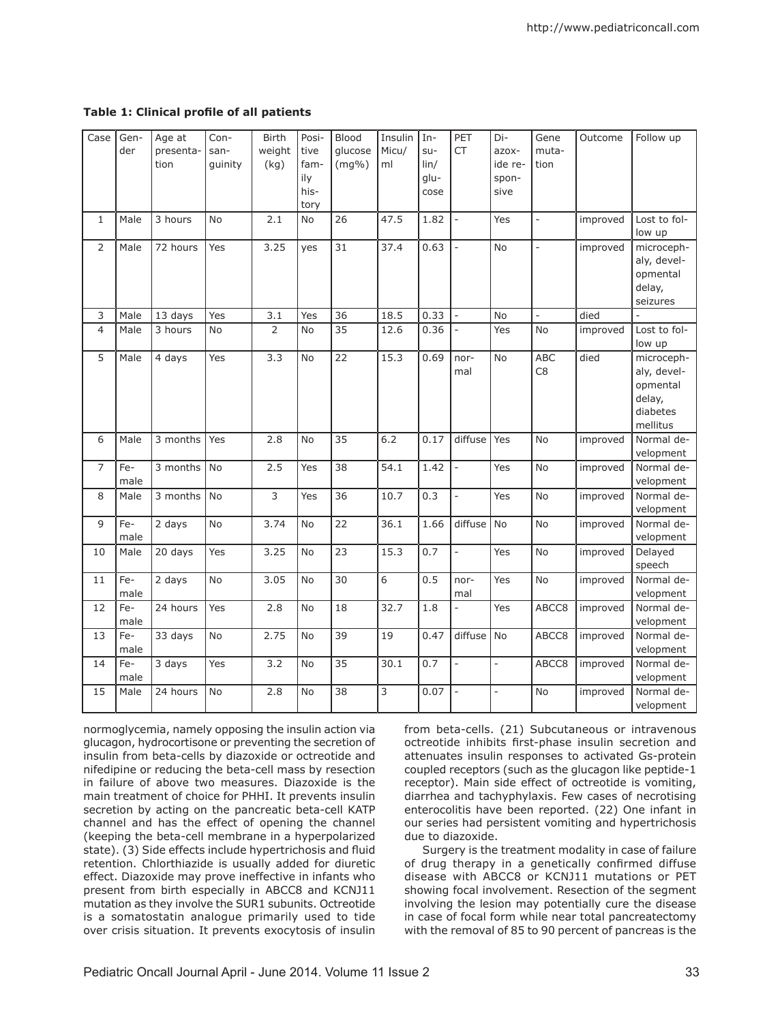**Table 1: Clinical profile of all patients**

| Case<br>$\mathbf{1}$ | Gen-<br>der<br>Male | Age at<br>presenta-<br>tion<br>3 hours | Con-<br>san-<br>guinity<br><b>No</b> | <b>Birth</b><br>weight<br>(kg)<br>2.1 | Posi-<br>tive<br>fam-<br>ily<br>his-<br>tory<br>No | Blood<br>glucose<br>$(mg\%)$<br>26 | Insulin<br>Micu/<br>ml<br>47.5 | $In-$<br>$su-$<br>$\ln/$<br>glu-<br>cose<br>1.82 | PET<br><b>CT</b><br>$\overline{a}$ | Di-<br>azox-<br>ide re-<br>spon-<br>sive<br>Yes | Gene<br>muta-<br>tion<br>$\frac{1}{2}$ | Outcome<br>improved | Follow up<br>Lost to fol-                                               |
|----------------------|---------------------|----------------------------------------|--------------------------------------|---------------------------------------|----------------------------------------------------|------------------------------------|--------------------------------|--------------------------------------------------|------------------------------------|-------------------------------------------------|----------------------------------------|---------------------|-------------------------------------------------------------------------|
|                      |                     |                                        |                                      |                                       |                                                    |                                    |                                |                                                  |                                    |                                                 |                                        |                     | low up                                                                  |
| $\overline{2}$       | Male                | 72 hours                               | Yes                                  | 3.25                                  | yes                                                | 31                                 | 37.4                           | 0.63                                             | $\overline{a}$                     | <b>No</b>                                       | $\frac{1}{2}$                          | improved            | microceph-<br>aly, devel-<br>opmental<br>delay,<br>seizures             |
| 3                    | Male                | 13 days                                | Yes                                  | 3.1                                   | Yes                                                | 36                                 | 18.5                           | 0.33                                             | $\overline{a}$                     | <b>No</b>                                       | $\overline{a}$                         | died                |                                                                         |
| $\overline{4}$       | Male                | 3 hours                                | No                                   | $\overline{2}$                        | <b>No</b>                                          | 35                                 | 12.6                           | 0.36                                             | $\overline{\phantom{0}}$           | Yes                                             | <b>No</b>                              | improved            | Lost to fol-<br>low up                                                  |
| 5                    | Male                | 4 days                                 | Yes                                  | 3.3                                   | No                                                 | 22                                 | 15.3                           | 0.69                                             | nor-<br>mal                        | No                                              | <b>ABC</b><br>C <sub>8</sub>           | died                | microceph-<br>aly, devel-<br>opmental<br>delay,<br>diabetes<br>mellitus |
| 6                    | Male                | 3 months                               | Yes                                  | 2.8                                   | <b>No</b>                                          | 35                                 | 6.2                            | 0.17                                             | diffuse                            | Yes                                             | <b>No</b>                              | improved            | Normal de-<br>velopment                                                 |
| $\overline{7}$       | Fe-<br>male         | 3 months                               | No                                   | 2.5                                   | Yes                                                | 38                                 | 54.1                           | 1.42                                             | $\overline{\phantom{0}}$           | Yes                                             | No                                     | improved            | Normal de-<br>velopment                                                 |
| 8                    | Male                | 3 months                               | No                                   | 3                                     | Yes                                                | 36                                 | 10.7                           | 0.3                                              | $\overline{\phantom{0}}$           | Yes                                             | No                                     | improved            | Normal de-<br>velopment                                                 |
| 9                    | Fe-<br>male         | 2 days                                 | No                                   | 3.74                                  | <b>No</b>                                          | 22                                 | 36.1                           | 1.66                                             | diffuse                            | No                                              | No                                     | improved            | Normal de-<br>velopment                                                 |
| 10                   | Male                | 20 days                                | Yes                                  | 3.25                                  | No                                                 | 23                                 | 15.3                           | 0.7                                              | $\frac{1}{2}$                      | Yes                                             | No                                     | improved            | Delayed<br>speech                                                       |
| 11                   | Fe-<br>male         | 2 days                                 | No                                   | 3.05                                  | <b>No</b>                                          | 30                                 | $\overline{6}$                 | 0.5                                              | nor-<br>mal                        | Yes                                             | No                                     | improved            | Normal de-<br>velopment                                                 |
| 12                   | Fe-<br>male         | 24 hours                               | Yes                                  | 2.8                                   | <b>No</b>                                          | 18                                 | 32.7                           | 1.8                                              | $\overline{a}$                     | Yes                                             | ABCC8                                  | improved            | Normal de-<br>velopment                                                 |
| 13                   | Fe-<br>male         | 33 days                                | <b>No</b>                            | 2.75                                  | <b>No</b>                                          | 39                                 | 19                             | 0.47                                             | diffuse                            | No                                              | ABCC8                                  | improved            | Normal de-<br>velopment                                                 |
| 14                   | Fe-<br>male         | 3 days                                 | Yes                                  | 3.2                                   | <b>No</b>                                          | 35                                 | 30.1                           | 0.7                                              | $\overline{a}$                     | $\overline{\phantom{a}}$                        | ABCC8                                  | improved            | Normal de-<br>velopment                                                 |
| 15                   | Male                | 24 hours                               | <b>No</b>                            | 2.8                                   | <b>No</b>                                          | 38                                 | 3                              | 0.07                                             | $\overline{\phantom{0}}$           | $\overline{\phantom{a}}$                        | <b>No</b>                              | improved            | Normal de-<br>velopment                                                 |

normoglycemia, namely opposing the insulin action via glucagon, hydrocortisone or preventing the secretion of insulin from beta-cells by diazoxide or octreotide and nifedipine or reducing the beta-cell mass by resection in failure of above two measures. Diazoxide is the main treatment of choice for PHHI. It prevents insulin secretion by acting on the pancreatic beta-cell KATP channel and has the effect of opening the channel (keeping the beta-cell membrane in a hyperpolarized state). (3) Side effects include hypertrichosis and fluid retention. Chlorthiazide is usually added for diuretic effect. Diazoxide may prove ineffective in infants who present from birth especially in ABCC8 and KCNJ11 mutation as they involve the SUR1 subunits. Octreotide is a somatostatin analogue primarily used to tide over crisis situation. It prevents exocytosis of insulin

from beta-cells. (21) Subcutaneous or intravenous octreotide inhibits first-phase insulin secretion and attenuates insulin responses to activated Gs-protein coupled receptors (such as the glucagon like peptide-1 receptor). Main side effect of octreotide is vomiting, diarrhea and tachyphylaxis. Few cases of necrotising enterocolitis have been reported. (22) One infant in our series had persistent vomiting and hypertrichosis due to diazoxide.

Surgery is the treatment modality in case of failure of drug therapy in a genetically confirmed diffuse disease with ABCC8 or KCNJ11 mutations or PET showing focal involvement. Resection of the segment involving the lesion may potentially cure the disease in case of focal form while near total pancreatectomy with the removal of 85 to 90 percent of pancreas is the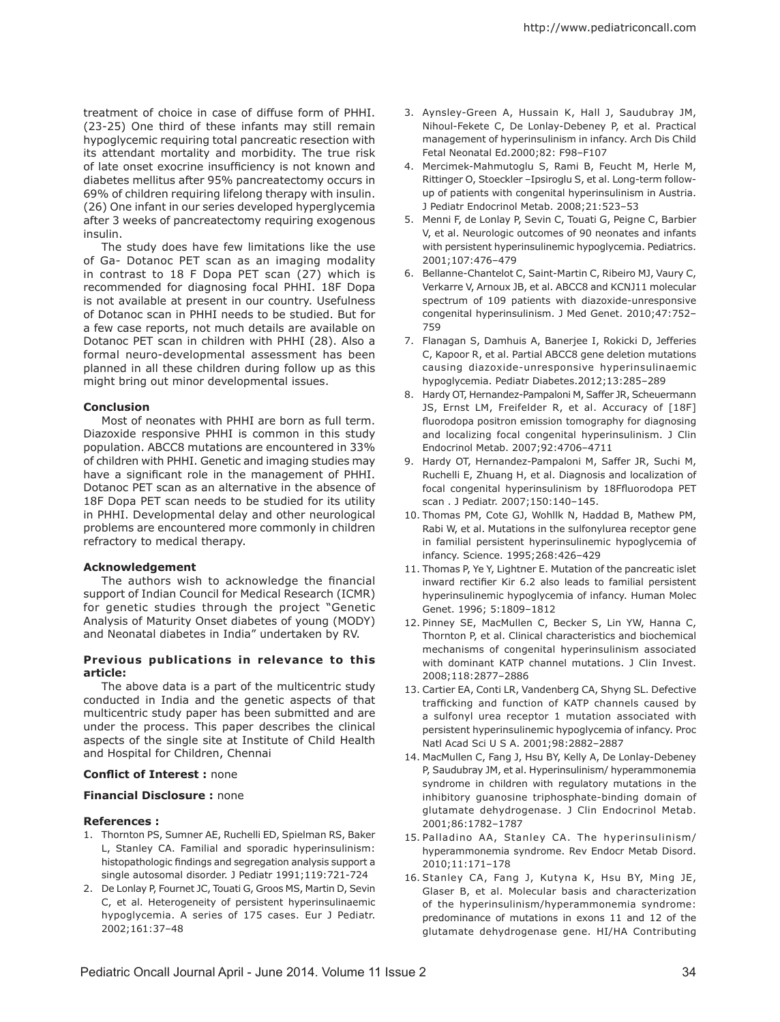treatment of choice in case of diffuse form of PHHI. (23-25) One third of these infants may still remain hypoglycemic requiring total pancreatic resection with its attendant mortality and morbidity. The true risk of late onset exocrine insufficiency is not known and diabetes mellitus after 95% pancreatectomy occurs in 69% of children requiring lifelong therapy with insulin. (26) One infant in our series developed hyperglycemia after 3 weeks of pancreatectomy requiring exogenous insulin.

The study does have few limitations like the use of Ga- Dotanoc PET scan as an imaging modality in contrast to 18 F Dopa PET scan (27) which is recommended for diagnosing focal PHHI. 18F Dopa is not available at present in our country. Usefulness of Dotanoc scan in PHHI needs to be studied. But for a few case reports, not much details are available on Dotanoc PET scan in children with PHHI (28). Also a formal neuro-developmental assessment has been planned in all these children during follow up as this might bring out minor developmental issues.

### **Conclusion**

Most of neonates with PHHI are born as full term. Diazoxide responsive PHHI is common in this study population. ABCC8 mutations are encountered in 33% of children with PHHI. Genetic and imaging studies may have a significant role in the management of PHHI. Dotanoc PET scan as an alternative in the absence of 18F Dopa PET scan needs to be studied for its utility in PHHI. Developmental delay and other neurological problems are encountered more commonly in children refractory to medical therapy.

#### **Acknowledgement**

The authors wish to acknowledge the financial support of Indian Council for Medical Research (ICMR) for genetic studies through the project "Genetic Analysis of Maturity Onset diabetes of young (MODY) and Neonatal diabetes in India" undertaken by RV.

#### **Previous publications in relevance to this article:**

The above data is a part of the multicentric study conducted in India and the genetic aspects of that multicentric study paper has been submitted and are under the process. This paper describes the clinical aspects of the single site at Institute of Child Health and Hospital for Children, Chennai

# **Conflict of Interest :** none

# **Financial Disclosure :** none

#### **References :**

- 1. Thornton PS, Sumner AE, Ruchelli ED, Spielman RS, Baker L, Stanley CA. Familial and sporadic hyperinsulinism: histopathologic findings and segregation analysis support a single autosomal disorder. J Pediatr 1991;119:721-724
- 2. De Lonlay P, Fournet JC, Touati G, Groos MS, Martin D, Sevin C, et al. Heterogeneity of persistent hyperinsulinaemic hypoglycemia. A series of 175 cases. Eur J Pediatr. 2002;161:37–48
- 3. Aynsley-Green A, Hussain K, Hall J, Saudubray JM, Nihoul-Fekete C, De Lonlay-Debeney P, et al. Practical management of hyperinsulinism in infancy. Arch Dis Child Fetal Neonatal Ed.2000;82: F98–F107
- 4. Mercimek-Mahmutoglu S, Rami B, Feucht M, Herle M, Rittinger O, Stoeckler –Ipsiroglu S, et al. Long-term followup of patients with congenital hyperinsulinism in Austria. J Pediatr Endocrinol Metab. 2008;21:523–53
- 5. Menni F, de Lonlay P, Sevin C, Touati G, Peigne C, Barbier V, et al. Neurologic outcomes of 90 neonates and infants with persistent hyperinsulinemic hypoglycemia. Pediatrics. 2001;107:476–479
- 6. Bellanne-Chantelot C, Saint-Martin C, Ribeiro MJ, Vaury C, Verkarre V, Arnoux JB, et al. ABCC8 and KCNJ11 molecular spectrum of 109 patients with diazoxide-unresponsive congenital hyperinsulinism. J Med Genet. 2010;47:752– 759
- 7. Flanagan S, Damhuis A, Banerjee I, Rokicki D, Jefferies C, Kapoor R, et al. Partial ABCC8 gene deletion mutations causing diazoxide-unresponsive hyperinsulinaemic hypoglycemia. Pediatr Diabetes.2012;13:285–289
- 8. Hardy OT, Hernandez-Pampaloni M, Saffer JR, Scheuermann JS, Ernst LM, Freifelder R, et al. Accuracy of [18F] fluorodopa positron emission tomography for diagnosing and localizing focal congenital hyperinsulinism. J Clin Endocrinol Metab. 2007;92:4706–4711
- 9. Hardy OT, Hernandez-Pampaloni M, Saffer JR, Suchi M, Ruchelli E, Zhuang H, et al. Diagnosis and localization of focal congenital hyperinsulinism by 18Ffluorodopa PET scan . J Pediatr. 2007;150:140–145.
- 10. Thomas PM, Cote GJ, Wohllk N, Haddad B, Mathew PM, Rabi W, et al. Mutations in the sulfonylurea receptor gene in familial persistent hyperinsulinemic hypoglycemia of infancy. Science. 1995;268:426–429
- 11. Thomas P, Ye Y, Lightner E. Mutation of the pancreatic islet inward rectifier Kir 6.2 also leads to familial persistent hyperinsulinemic hypoglycemia of infancy. Human Molec Genet. 1996; 5:1809–1812
- 12. Pinney SE, MacMullen C, Becker S, Lin YW, Hanna C, Thornton P, et al. Clinical characteristics and biochemical mechanisms of congenital hyperinsulinism associated with dominant KATP channel mutations. J Clin Invest. 2008;118:2877–2886
- 13. Cartier EA, Conti LR, Vandenberg CA, Shyng SL. Defective trafficking and function of KATP channels caused by a sulfonyl urea receptor 1 mutation associated with persistent hyperinsulinemic hypoglycemia of infancy. Proc Natl Acad Sci U S A. 2001;98:2882–2887
- 14. MacMullen C, Fang J, Hsu BY, Kelly A, De Lonlay-Debeney P, Saudubray JM, et al. Hyperinsulinism/ hyperammonemia syndrome in children with regulatory mutations in the inhibitory guanosine triphosphate-binding domain of glutamate dehydrogenase. J Clin Endocrinol Metab. 2001;86:1782–1787
- 15. Palladino AA, Stanley CA. The hyperinsulinism/ hyperammonemia syndrome. Rev Endocr Metab Disord. 2010;11:171–178
- 16. Stanley CA, Fang J, Kutyna K, Hsu BY, Ming JE, Glaser B, et al. Molecular basis and characterization of the hyperinsulinism/hyperammonemia syndrome: predominance of mutations in exons 11 and 12 of the glutamate dehydrogenase gene. HI/HA Contributing